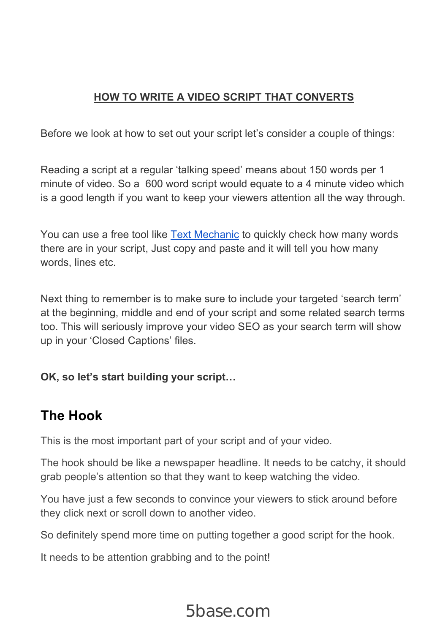### **HOW TO WRITE A VIDEO SCRIPT THAT CONVERTS**

Before we look at how to set out your script let's consider a couple of things:

Reading a script at a regular 'talking speed' means about 150 words per 1 minute of video. So a 600 word script would equate to a 4 minute video which is a good length if you want to keep your viewers attention all the way through.

You can use a free tool like Text Mechanic to quickly check how many words there are in your script, Just copy and paste and it will tell you how many words, lines etc.

Next thing to remember is to make sure to include your targeted 'search term' at the beginning, middle and end of your script and some related search terms too. This will seriously improve your video SEO as your search term will show up in your 'Closed Captions' files.

### **OK, so let's start building your script…**

## **The Hook**

This is the most important part of your script and of your video.

The hook should be like a newspaper headline. It needs to be catchy, it should grab people's attention so that they want to keep watching the video.

You have just a few seconds to convince your viewers to stick around before they click next or scroll down to another video.

So definitely spend more time on putting together a good script for the hook.

It needs to be attention grabbing and to the point!

# 5base.com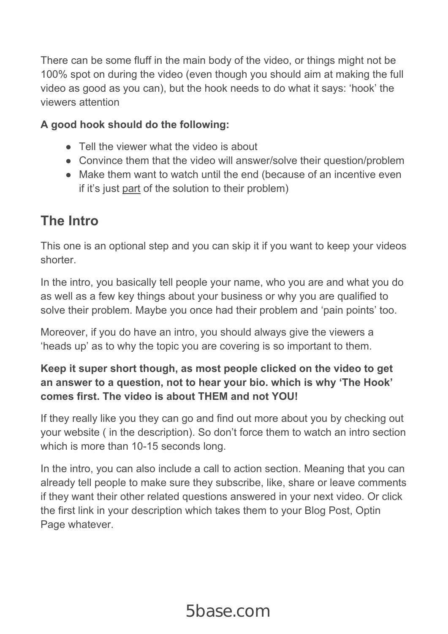There can be some fluff in the main body of the video, or things might not be 100% spot on during the video (even though you should aim at making the full video as good as you can), but the hook needs to do what it says: 'hook' the viewers attention

#### **A good hook should do the following:**

- Tell the viewer what the video is about
- Convince them that the video will answer/solve their question/problem
- Make them want to watch until the end (because of an incentive even if it's just part of the solution to their problem)

### **The Intro**

This one is an optional step and you can skip it if you want to keep your videos shorter.

In the intro, you basically tell people your name, who you are and what you do as well as a few key things about your business or why you are qualified to solve their problem. Maybe you once had their problem and 'pain points' too.

Moreover, if you do have an intro, you should always give the viewers a 'heads up' as to why the topic you are covering is so important to them.

#### **Keep it super short though, as most people clicked on the video to get an answer to a question, not to hear your bio. which is why 'The Hook' comes first. The video is about THEM and not YOU!**

If they really like you they can go and find out more about you by checking out your website ( in the description). So don't force them to watch an intro section which is more than 10-15 seconds long.

In the intro, you can also include a call to action section. Meaning that you can already tell people to make sure they subscribe, like, share or leave comments if they want their other related questions answered in your next video. Or click the first link in your description which takes them to your Blog Post, Optin Page whatever.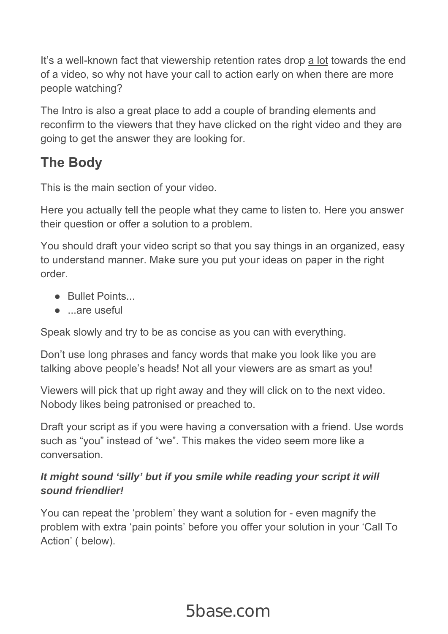It's a well-known fact that viewership retention rates drop a lot towards the end of a video, so why not have your call to action early on when there are more people watching?

The Intro is also a great place to add a couple of branding elements and reconfirm to the viewers that they have clicked on the right video and they are going to get the answer they are looking for.

# **The Body**

This is the main section of your video.

Here you actually tell the people what they came to listen to. Here you answer their question or offer a solution to a problem.

You should draft your video script so that you say things in an organized, easy to understand manner. Make sure you put your ideas on paper in the right order.

- Bullet Points
- ...are useful

Speak slowly and try to be as concise as you can with everything.

Don't use long phrases and fancy words that make you look like you are talking above people's heads! Not all your viewers are as smart as you!

Viewers will pick that up right away and they will click on to the next video. Nobody likes being patronised or preached to.

Draft your script as if you were having a conversation with a friend. Use words such as "you" instead of "we". This makes the video seem more like a conversation.

#### *It might sound 'silly' but if you smile while reading your script it will sound friendlier!*

You can repeat the 'problem' they want a solution for - even magnify the problem with extra 'pain points' before you offer your solution in your 'Call To Action' ( below).

# 5base.com